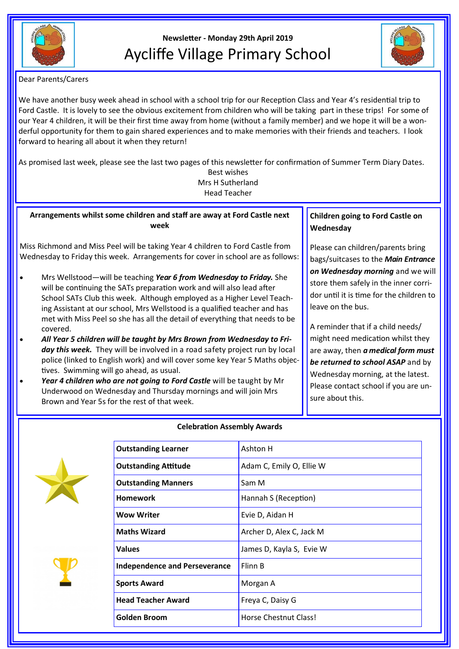

# **Newsletter - Monday 29th April 2019** Aycliffe Village Primary School



Dear Parents/Carers

We have another busy week ahead in school with a school trip for our Reception Class and Year 4's residential trip to Ford Castle. It is lovely to see the obvious excitement from children who will be taking part in these trips! For some of our Year 4 children, it will be their first time away from home (without a family member) and we hope it will be a wonderful opportunity for them to gain shared experiences and to make memories with their friends and teachers. I look forward to hearing all about it when they return!

As promised last week, please see the last two pages of this newsletter for confirmation of Summer Term Diary Dates.

Best wishes Mrs H Sutherland Head Teacher

**Arrangements whilst some children and staff are away at Ford Castle next week**

Miss Richmond and Miss Peel will be taking Year 4 children to Ford Castle from Wednesday to Friday this week. Arrangements for cover in school are as follows:

- Mrs Wellstood—will be teaching *Year 6 from Wednesday to Friday.* She will be continuing the SATs preparation work and will also lead after School SATs Club this week. Although employed as a Higher Level Teaching Assistant at our school, Mrs Wellstood is a qualified teacher and has met with Miss Peel so she has all the detail of everything that needs to be covered.
- *All Year 5 children will be taught by Mrs Brown from Wednesday to Fri*day this week. They will be involved in a road safety project run by local police (linked to English work) and will cover some key Year 5 Maths objectives. Swimming will go ahead, as usual.
- Year 4 children who are not going to Ford Castle will be taught by Mr Underwood on Wednesday and Thursday mornings and will join Mrs Brown and Year 5s for the rest of that week.

**Children going to Ford Castle on Wednesday**

Please can children/parents bring bags/suitcases to the *Main Entrance on Wednesday morning* and we will store them safely in the inner corridor until it is time for the children to leave on the bus.

A reminder that if a child needs/ might need medication whilst they are away, then *a medical form must be returned to school ASAP* and by Wednesday morning, at the latest. Please contact school if you are unsure about this.





## **Celebration Assembly Awards**

| <b>Outstanding Learner</b>           | Ashton H                 |
|--------------------------------------|--------------------------|
| <b>Outstanding Attitude</b>          | Adam C, Emily O, Ellie W |
| <b>Outstanding Manners</b>           | Sam M                    |
| Homework                             | Hannah S (Reception)     |
| Wow Writer                           | Evie D, Aidan H          |
| <b>Maths Wizard</b>                  | Archer D, Alex C, Jack M |
| Values                               | James D, Kayla S, Evie W |
| <b>Independence and Perseverance</b> | Flinn B                  |
| <b>Sports Award</b>                  | Morgan A                 |
| <b>Head Teacher Award</b>            | Freya C, Daisy G         |
| Golden Broom                         | Horse Chestnut Class!    |
|                                      |                          |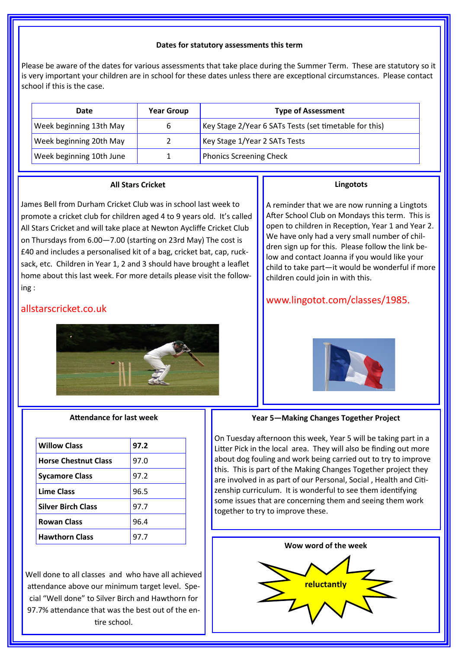#### **Dates for statutory assessments this term**

Please be aware of the dates for various assessments that take place during the Summer Term. These are statutory so it is very important your children are in school for these dates unless there are exceptional circumstances. Please contact school if this is the case.

| Date                     | <b>Year Group</b> | <b>Type of Assessment</b>                              |
|--------------------------|-------------------|--------------------------------------------------------|
| Week beginning 13th May  | 6                 | Key Stage 2/Year 6 SATs Tests (set timetable for this) |
| Week beginning 20th May  |                   | Key Stage 1/Year 2 SATs Tests                          |
| Week beginning 10th June |                   | <b>Phonics Screening Check</b>                         |

### **All Stars Cricket**

James Bell from Durham Cricket Club was in school last week to promote a cricket club for children aged 4 to 9 years old. It's called All Stars Cricket and will take place at Newton Aycliffe Cricket Club on Thursdays from 6.00—7.00 (starting on 23rd May) The cost is £40 and includes a personalised kit of a bag, cricket bat, cap, rucksack, etc. Children in Year 1, 2 and 3 should have brought a leaflet home about this last week. For more details please visit the following :

## allstarscricket.co.uk



#### **Attendance for last week**

| <b>Willow Class</b>         | 97.2 |
|-----------------------------|------|
| <b>Horse Chestnut Class</b> | 97.0 |
| <b>Sycamore Class</b>       | 97.2 |
| <b>Lime Class</b>           | 96.5 |
| <b>Silver Birch Class</b>   | 97.7 |
| <b>Rowan Class</b>          | 96.4 |
| <b>Hawthorn Class</b>       | 97.7 |

Well done to all classes and who have all achieved attendance above our minimum target level. Special "Well done" to Silver Birch and Hawthorn for 97.7% attendance that was the best out of the entire school.

#### **Lingotots**

A reminder that we are now running a Lingtots After School Club on Mondays this term. This is open to children in Reception, Year 1 and Year 2. We have only had a very small number of children sign up for this. Please follow the link below and contact Joanna if you would like your child to take part—it would be wonderful if more children could join in with this.

## www.lingotot.com/classes/1985.



#### **Year 5—Making Changes Together Project**

On Tuesday afternoon this week, Year 5 will be taking part in a Litter Pick in the local area. They will also be finding out more about dog fouling and work being carried out to try to improve this. This is part of the Making Changes Together project they are involved in as part of our Personal, Social , Health and Citizenship curriculum. It is wonderful to see them identifying some issues that are concerning them and seeing them work together to try to improve these.

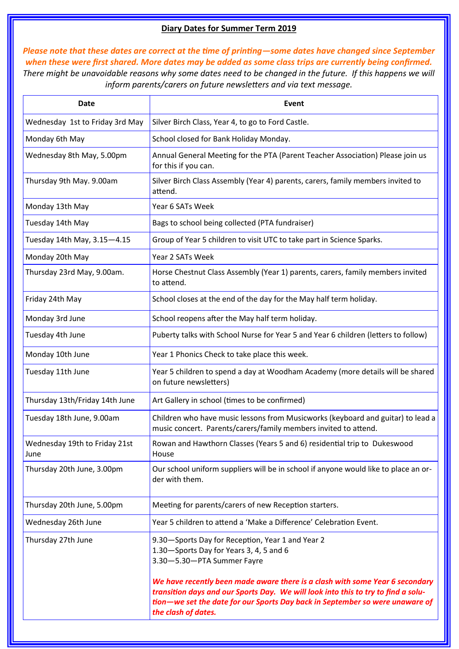## **Diary Dates for Summer Term 2019**

*Please note that these dates are correct at the time of printing—some dates have changed since September when these were first shared. More dates may be added as some class trips are currently being confirmed. There might be unavoidable reasons why some dates need to be changed in the future. If this happens we will inform parents/carers on future newsletters and via text message.*

| <b>Date</b>                           | Event                                                                                                                                                                                                                                                                    |
|---------------------------------------|--------------------------------------------------------------------------------------------------------------------------------------------------------------------------------------------------------------------------------------------------------------------------|
| Wednesday 1st to Friday 3rd May       | Silver Birch Class, Year 4, to go to Ford Castle.                                                                                                                                                                                                                        |
| Monday 6th May                        | School closed for Bank Holiday Monday.                                                                                                                                                                                                                                   |
| Wednesday 8th May, 5.00pm             | Annual General Meeting for the PTA (Parent Teacher Association) Please join us<br>for this if you can.                                                                                                                                                                   |
| Thursday 9th May. 9.00am              | Silver Birch Class Assembly (Year 4) parents, carers, family members invited to<br>attend.                                                                                                                                                                               |
| Monday 13th May                       | Year 6 SATs Week                                                                                                                                                                                                                                                         |
| Tuesday 14th May                      | Bags to school being collected (PTA fundraiser)                                                                                                                                                                                                                          |
| Tuesday 14th May, 3.15-4.15           | Group of Year 5 children to visit UTC to take part in Science Sparks.                                                                                                                                                                                                    |
| Monday 20th May                       | Year 2 SATs Week                                                                                                                                                                                                                                                         |
| Thursday 23rd May, 9.00am.            | Horse Chestnut Class Assembly (Year 1) parents, carers, family members invited<br>to attend.                                                                                                                                                                             |
| Friday 24th May                       | School closes at the end of the day for the May half term holiday.                                                                                                                                                                                                       |
| Monday 3rd June                       | School reopens after the May half term holiday.                                                                                                                                                                                                                          |
| Tuesday 4th June                      | Puberty talks with School Nurse for Year 5 and Year 6 children (letters to follow)                                                                                                                                                                                       |
| Monday 10th June                      | Year 1 Phonics Check to take place this week.                                                                                                                                                                                                                            |
| Tuesday 11th June                     | Year 5 children to spend a day at Woodham Academy (more details will be shared<br>on future newsletters)                                                                                                                                                                 |
| Thursday 13th/Friday 14th June        | Art Gallery in school (times to be confirmed)                                                                                                                                                                                                                            |
| Tuesday 18th June, 9.00am             | Children who have music lessons from Musicworks (keyboard and guitar) to lead a<br>music concert. Parents/carers/family members invited to attend.                                                                                                                       |
| Wednesday 19th to Friday 21st<br>June | Rowan and Hawthorn Classes (Years 5 and 6) residential trip to Dukeswood<br>House                                                                                                                                                                                        |
| Thursday 20th June, 3.00pm            | Our school uniform suppliers will be in school if anyone would like to place an or-<br>der with them.                                                                                                                                                                    |
| Thursday 20th June, 5.00pm            | Meeting for parents/carers of new Reception starters.                                                                                                                                                                                                                    |
| Wednesday 26th June                   | Year 5 children to attend a 'Make a Difference' Celebration Event.                                                                                                                                                                                                       |
| Thursday 27th June                    | 9.30-Sports Day for Reception, Year 1 and Year 2<br>1.30-Sports Day for Years 3, 4, 5 and 6<br>3.30-5.30-PTA Summer Fayre                                                                                                                                                |
|                                       | We have recently been made aware there is a clash with some Year 6 secondary<br>transition days and our Sports Day. We will look into this to try to find a solu-<br>tion-we set the date for our Sports Day back in September so were unaware of<br>the clash of dates. |